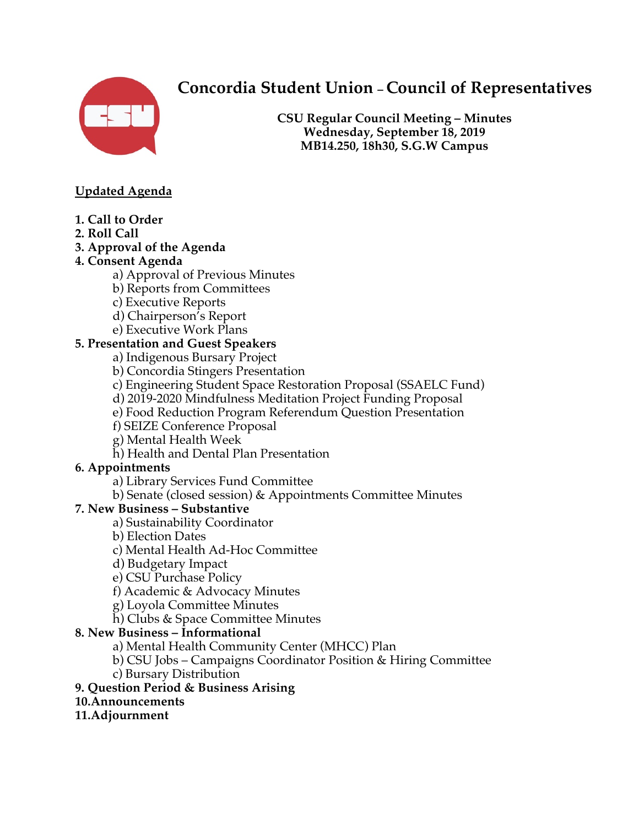

# **Concordia Student Union – Council of Representatives**

**CSU Regular Council Meeting – Minutes Wednesday, September 18, 2019 MB14.250, 18h30, S.G.W Campus**

### **Updated Agenda**

- **1. Call to Order**
- **2. Roll Call**
- **3. Approval of the Agenda**

### **4. Consent Agenda**

- a) Approval of Previous Minutes
- b) Reports from Committees
- c) Executive Reports
- d) Chairperson's Report
- e) Executive Work Plans

### **5. Presentation and Guest Speakers**

- a) Indigenous Bursary Project
- b) Concordia Stingers Presentation
- c) Engineering Student Space Restoration Proposal (SSAELC Fund)
- d) 2019-2020 Mindfulness Meditation Project Funding Proposal
- e) Food Reduction Program Referendum Question Presentation
- f) SEIZE Conference Proposal
- g) Mental Health Week
- h) Health and Dental Plan Presentation

### **6. Appointments**

- a) Library Services Fund Committee
- b) Senate (closed session) & Appointments Committee Minutes

### **7. New Business – Substantive**

- a) Sustainability Coordinator
- b) Election Dates
- c) Mental Health Ad-Hoc Committee
- d) Budgetary Impact
- e) CSU Purchase Policy
- f) Academic & Advocacy Minutes
- g) Loyola Committee Minutes
- h) Clubs & Space Committee Minutes

### **8. New Business – Informational**

- a) Mental Health Community Center (MHCC) Plan
- b) CSU Jobs Campaigns Coordinator Position & Hiring Committee
- c) Bursary Distribution

### **9. Question Period & Business Arising**

### **10.Announcements**

### **11.Adjournment**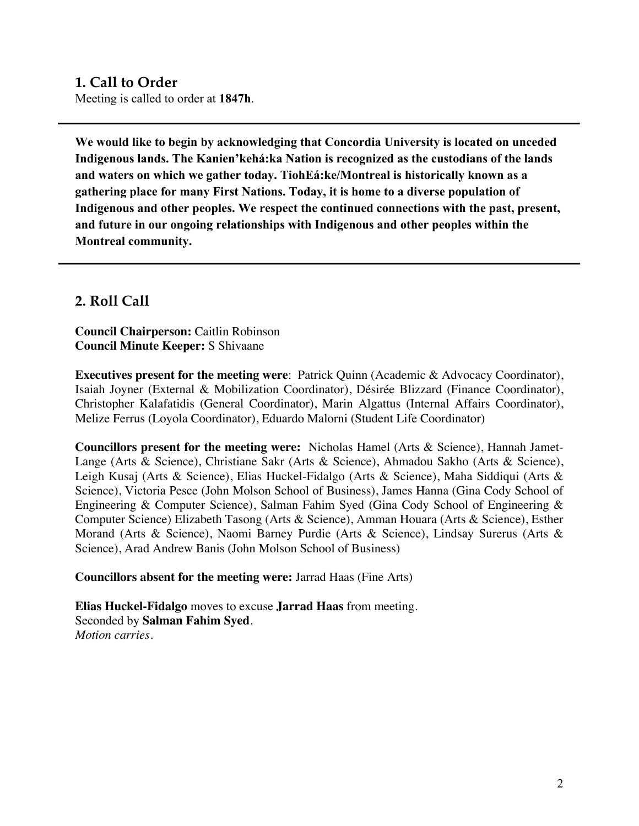# **1. Call to Order**

Meeting is called to order at **1847h**.

**We would like to begin by acknowledging that Concordia University is located on unceded Indigenous lands. The Kanien'kehá:ka Nation is recognized as the custodians of the lands and waters on which we gather today. TiohEá:ke/Montreal is historically known as a gathering place for many First Nations. Today, it is home to a diverse population of Indigenous and other peoples. We respect the continued connections with the past, present, and future in our ongoing relationships with Indigenous and other peoples within the Montreal community.**

### **2. Roll Call**

**Council Chairperson:** Caitlin Robinson **Council Minute Keeper:** S Shivaane

**Executives present for the meeting were**: Patrick Quinn (Academic & Advocacy Coordinator), Isaiah Joyner (External & Mobilization Coordinator), Désirée Blizzard (Finance Coordinator), Christopher Kalafatidis (General Coordinator), Marin Algattus (Internal Affairs Coordinator), Melize Ferrus (Loyola Coordinator), Eduardo Malorni (Student Life Coordinator)

**Councillors present for the meeting were:** Nicholas Hamel (Arts & Science), Hannah Jamet-Lange (Arts & Science), Christiane Sakr (Arts & Science), Ahmadou Sakho (Arts & Science), Leigh Kusaj (Arts & Science), Elias Huckel-Fidalgo (Arts & Science), Maha Siddiqui (Arts & Science), Victoria Pesce (John Molson School of Business), James Hanna (Gina Cody School of Engineering & Computer Science), Salman Fahim Syed (Gina Cody School of Engineering & Computer Science) Elizabeth Tasong (Arts & Science), Amman Houara (Arts & Science), Esther Morand (Arts & Science), Naomi Barney Purdie (Arts & Science), Lindsay Surerus (Arts & Science), Arad Andrew Banis (John Molson School of Business)

#### **Councillors absent for the meeting were:** Jarrad Haas (Fine Arts)

**Elias Huckel-Fidalgo** moves to excuse **Jarrad Haas** from meeting. Seconded by **Salman Fahim Syed**. *Motion carries.*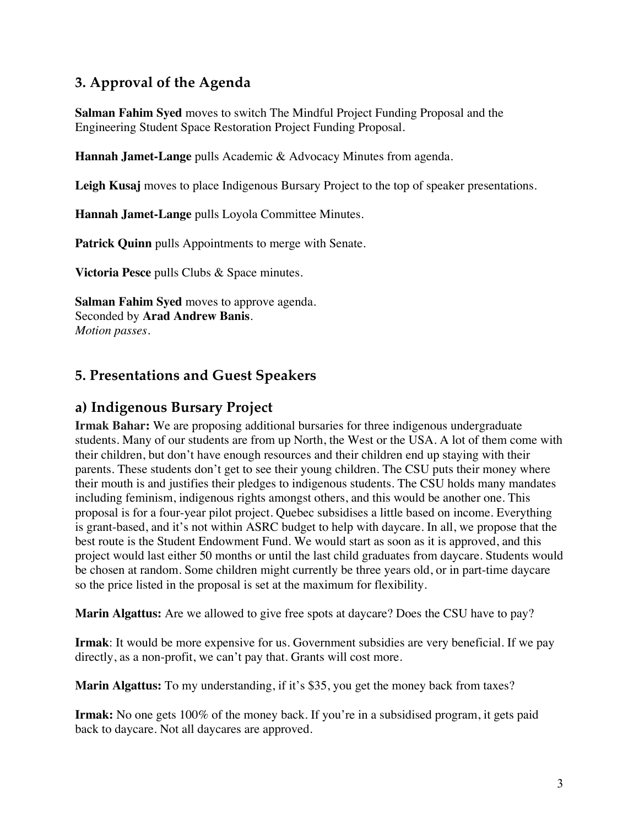# **3. Approval of the Agenda**

**Salman Fahim Syed** moves to switch The Mindful Project Funding Proposal and the Engineering Student Space Restoration Project Funding Proposal.

**Hannah Jamet-Lange** pulls Academic & Advocacy Minutes from agenda.

**Leigh Kusaj** moves to place Indigenous Bursary Project to the top of speaker presentations.

**Hannah Jamet-Lange** pulls Loyola Committee Minutes.

Patrick Quinn pulls Appointments to merge with Senate.

**Victoria Pesce** pulls Clubs & Space minutes.

**Salman Fahim Syed** moves to approve agenda. Seconded by **Arad Andrew Banis**. *Motion passes.* 

# **5. Presentations and Guest Speakers**

## **a) Indigenous Bursary Project**

**Irmak Bahar:** We are proposing additional bursaries for three indigenous undergraduate students. Many of our students are from up North, the West or the USA. A lot of them come with their children, but don't have enough resources and their children end up staying with their parents. These students don't get to see their young children. The CSU puts their money where their mouth is and justifies their pledges to indigenous students. The CSU holds many mandates including feminism, indigenous rights amongst others, and this would be another one. This proposal is for a four-year pilot project. Quebec subsidises a little based on income. Everything is grant-based, and it's not within ASRC budget to help with daycare. In all, we propose that the best route is the Student Endowment Fund. We would start as soon as it is approved, and this project would last either 50 months or until the last child graduates from daycare. Students would be chosen at random. Some children might currently be three years old, or in part-time daycare so the price listed in the proposal is set at the maximum for flexibility.

**Marin Algattus:** Are we allowed to give free spots at daycare? Does the CSU have to pay?

**Irmak**: It would be more expensive for us. Government subsidies are very beneficial. If we pay directly, as a non-profit, we can't pay that. Grants will cost more.

**Marin Algattus:** To my understanding, if it's \$35, you get the money back from taxes?

**Irmak:** No one gets 100% of the money back. If you're in a subsidised program, it gets paid back to daycare. Not all daycares are approved.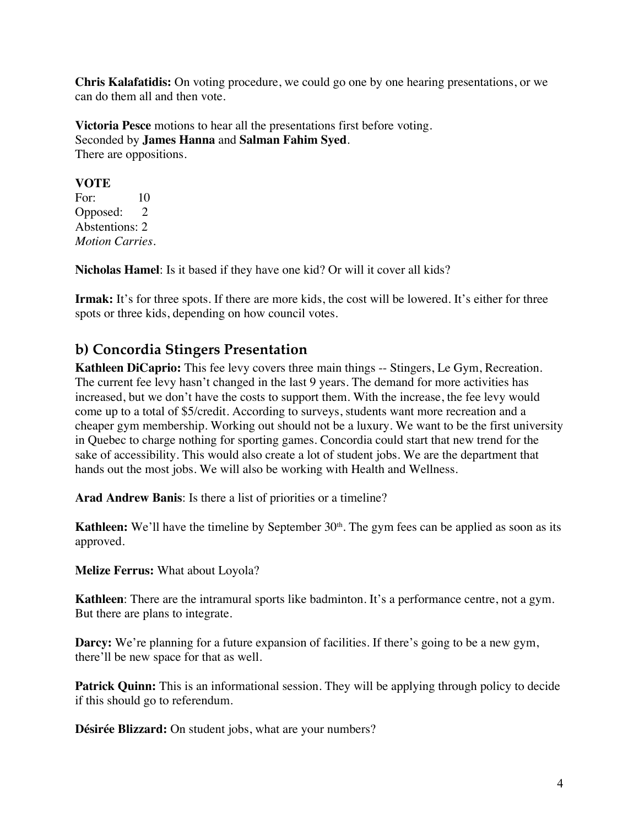**Chris Kalafatidis:** On voting procedure, we could go one by one hearing presentations, or we can do them all and then vote.

**Victoria Pesce** motions to hear all the presentations first before voting. Seconded by **James Hanna** and **Salman Fahim Syed**. There are oppositions.

#### **VOTE**

For: 10 Opposed: 2 Abstentions: 2 *Motion Carries.* 

**Nicholas Hamel**: Is it based if they have one kid? Or will it cover all kids?

**Irmak:** It's for three spots. If there are more kids, the cost will be lowered. It's either for three spots or three kids, depending on how council votes.

# **b) Concordia Stingers Presentation**

**Kathleen DiCaprio:** This fee levy covers three main things -- Stingers, Le Gym, Recreation. The current fee levy hasn't changed in the last 9 years. The demand for more activities has increased, but we don't have the costs to support them. With the increase, the fee levy would come up to a total of \$5/credit. According to surveys, students want more recreation and a cheaper gym membership. Working out should not be a luxury. We want to be the first university in Quebec to charge nothing for sporting games. Concordia could start that new trend for the sake of accessibility. This would also create a lot of student jobs. We are the department that hands out the most jobs. We will also be working with Health and Wellness.

**Arad Andrew Banis**: Is there a list of priorities or a timeline?

**Kathleen:** We'll have the timeline by September 30<sup>th</sup>. The gym fees can be applied as soon as its approved.

**Melize Ferrus:** What about Loyola?

**Kathleen**: There are the intramural sports like badminton. It's a performance centre, not a gym. But there are plans to integrate.

**Darcy:** We're planning for a future expansion of facilities. If there's going to be a new gym, there'll be new space for that as well.

**Patrick Quinn:** This is an informational session. They will be applying through policy to decide if this should go to referendum.

**Désirée Blizzard:** On student jobs, what are your numbers?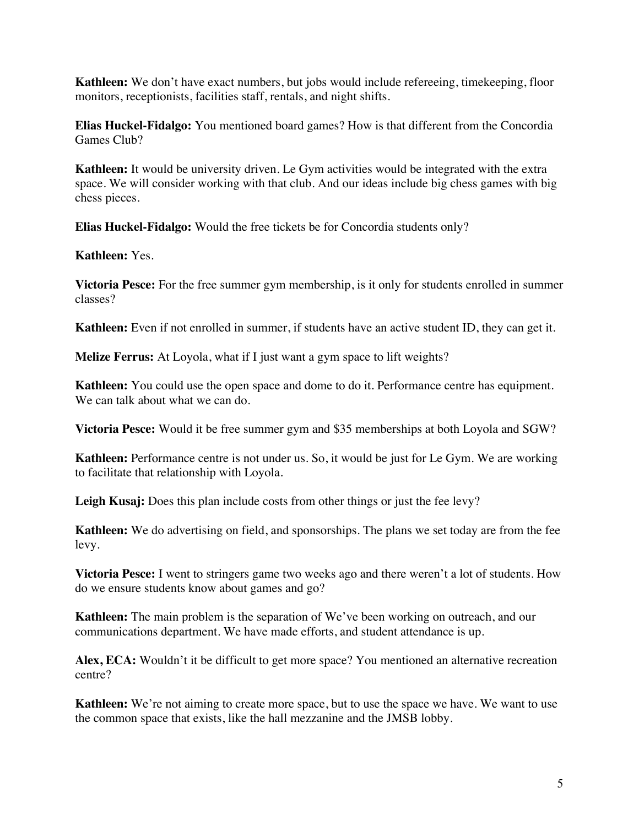**Kathleen:** We don't have exact numbers, but jobs would include refereeing, timekeeping, floor monitors, receptionists, facilities staff, rentals, and night shifts.

**Elias Huckel-Fidalgo:** You mentioned board games? How is that different from the Concordia Games Club?

**Kathleen:** It would be university driven. Le Gym activities would be integrated with the extra space. We will consider working with that club. And our ideas include big chess games with big chess pieces.

**Elias Huckel-Fidalgo:** Would the free tickets be for Concordia students only?

**Kathleen:** Yes.

**Victoria Pesce:** For the free summer gym membership, is it only for students enrolled in summer classes?

**Kathleen:** Even if not enrolled in summer, if students have an active student ID, they can get it.

**Melize Ferrus:** At Loyola, what if I just want a gym space to lift weights?

**Kathleen:** You could use the open space and dome to do it. Performance centre has equipment. We can talk about what we can do.

**Victoria Pesce:** Would it be free summer gym and \$35 memberships at both Loyola and SGW?

**Kathleen:** Performance centre is not under us. So, it would be just for Le Gym. We are working to facilitate that relationship with Loyola.

**Leigh Kusaj:** Does this plan include costs from other things or just the fee levy?

**Kathleen:** We do advertising on field, and sponsorships. The plans we set today are from the fee levy.

**Victoria Pesce:** I went to stringers game two weeks ago and there weren't a lot of students. How do we ensure students know about games and go?

**Kathleen:** The main problem is the separation of We've been working on outreach, and our communications department. We have made efforts, and student attendance is up.

**Alex, ECA:** Wouldn't it be difficult to get more space? You mentioned an alternative recreation centre?

**Kathleen:** We're not aiming to create more space, but to use the space we have. We want to use the common space that exists, like the hall mezzanine and the JMSB lobby.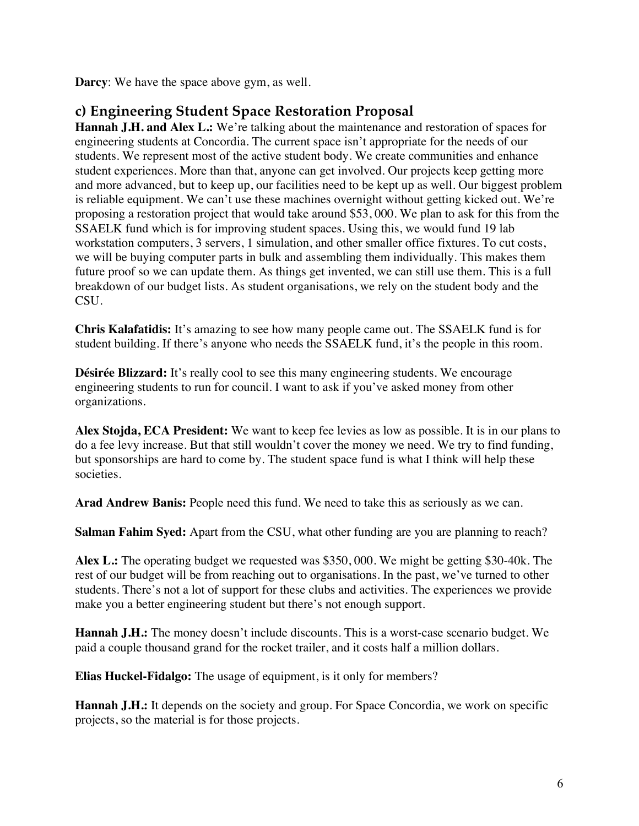**Darcy**: We have the space above gym, as well.

# **c) Engineering Student Space Restoration Proposal**

Hannah J.H. and Alex L.: We're talking about the maintenance and restoration of spaces for engineering students at Concordia. The current space isn't appropriate for the needs of our students. We represent most of the active student body. We create communities and enhance student experiences. More than that, anyone can get involved. Our projects keep getting more and more advanced, but to keep up, our facilities need to be kept up as well. Our biggest problem is reliable equipment. We can't use these machines overnight without getting kicked out. We're proposing a restoration project that would take around \$53, 000. We plan to ask for this from the SSAELK fund which is for improving student spaces. Using this, we would fund 19 lab workstation computers, 3 servers, 1 simulation, and other smaller office fixtures. To cut costs, we will be buying computer parts in bulk and assembling them individually. This makes them future proof so we can update them. As things get invented, we can still use them. This is a full breakdown of our budget lists. As student organisations, we rely on the student body and the CSU.

**Chris Kalafatidis:** It's amazing to see how many people came out. The SSAELK fund is for student building. If there's anyone who needs the SSAELK fund, it's the people in this room.

**Désirée Blizzard:** It's really cool to see this many engineering students. We encourage engineering students to run for council. I want to ask if you've asked money from other organizations.

**Alex Stojda, ECA President:** We want to keep fee levies as low as possible. It is in our plans to do a fee levy increase. But that still wouldn't cover the money we need. We try to find funding, but sponsorships are hard to come by. The student space fund is what I think will help these societies.

**Arad Andrew Banis:** People need this fund. We need to take this as seriously as we can.

**Salman Fahim Syed:** Apart from the CSU, what other funding are you are planning to reach?

**Alex L.:** The operating budget we requested was \$350, 000. We might be getting \$30-40k. The rest of our budget will be from reaching out to organisations. In the past, we've turned to other students. There's not a lot of support for these clubs and activities. The experiences we provide make you a better engineering student but there's not enough support.

**Hannah J.H.:** The money doesn't include discounts. This is a worst-case scenario budget. We paid a couple thousand grand for the rocket trailer, and it costs half a million dollars.

**Elias Huckel-Fidalgo:** The usage of equipment, is it only for members?

**Hannah J.H.:** It depends on the society and group. For Space Concordia, we work on specific projects, so the material is for those projects.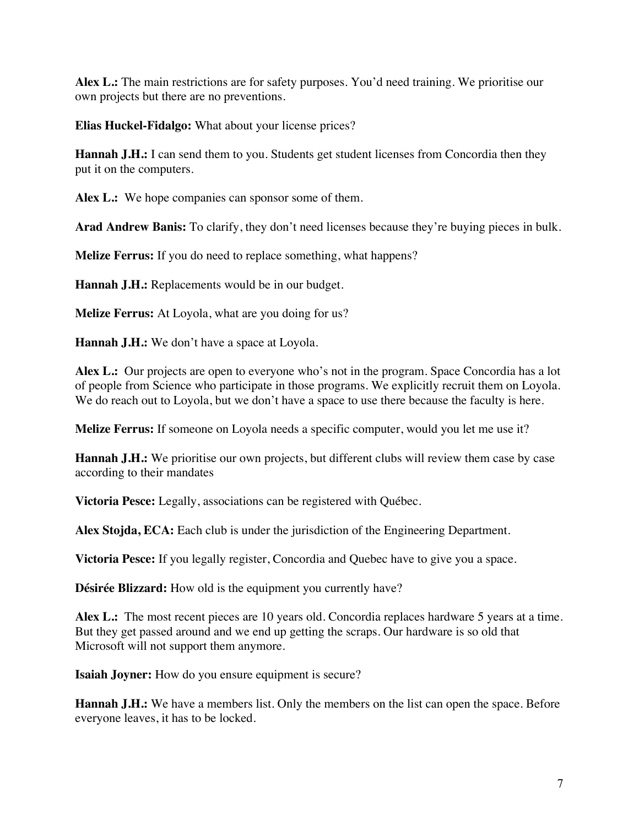**Alex L.:** The main restrictions are for safety purposes. You'd need training. We prioritise our own projects but there are no preventions.

**Elias Huckel-Fidalgo:** What about your license prices?

**Hannah J.H.:** I can send them to you. Students get student licenses from Concordia then they put it on the computers.

**Alex L.:** We hope companies can sponsor some of them.

**Arad Andrew Banis:** To clarify, they don't need licenses because they're buying pieces in bulk.

**Melize Ferrus:** If you do need to replace something, what happens?

**Hannah J.H.:** Replacements would be in our budget.

**Melize Ferrus:** At Loyola, what are you doing for us?

**Hannah J.H.:** We don't have a space at Loyola.

**Alex L.:** Our projects are open to everyone who's not in the program. Space Concordia has a lot of people from Science who participate in those programs. We explicitly recruit them on Loyola. We do reach out to Loyola, but we don't have a space to use there because the faculty is here.

**Melize Ferrus:** If someone on Loyola needs a specific computer, would you let me use it?

**Hannah J.H.:** We prioritise our own projects, but different clubs will review them case by case according to their mandates

**Victoria Pesce:** Legally, associations can be registered with Québec.

**Alex Stojda, ECA:** Each club is under the jurisdiction of the Engineering Department.

**Victoria Pesce:** If you legally register, Concordia and Quebec have to give you a space.

**Désirée Blizzard:** How old is the equipment you currently have?

Alex L.: The most recent pieces are 10 years old. Concordia replaces hardware 5 years at a time. But they get passed around and we end up getting the scraps. Our hardware is so old that Microsoft will not support them anymore.

**Isaiah Joyner:** How do you ensure equipment is secure?

**Hannah J.H.:** We have a members list. Only the members on the list can open the space. Before everyone leaves, it has to be locked.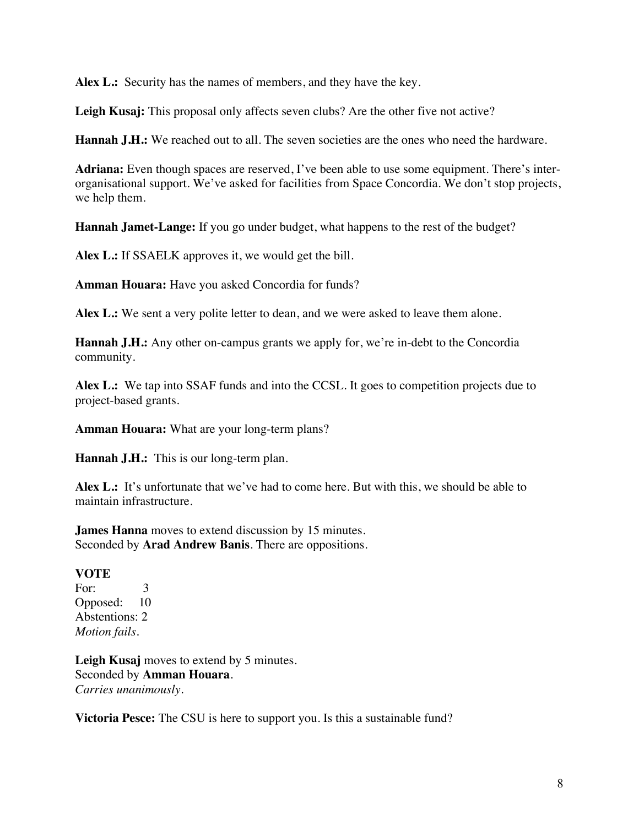**Alex L.:** Security has the names of members, and they have the key.

**Leigh Kusaj:** This proposal only affects seven clubs? Are the other five not active?

**Hannah J.H.:** We reached out to all. The seven societies are the ones who need the hardware.

**Adriana:** Even though spaces are reserved, I've been able to use some equipment. There's interorganisational support. We've asked for facilities from Space Concordia. We don't stop projects, we help them.

**Hannah Jamet-Lange:** If you go under budget, what happens to the rest of the budget?

**Alex L.:** If SSAELK approves it, we would get the bill.

**Amman Houara:** Have you asked Concordia for funds?

**Alex L.:** We sent a very polite letter to dean, and we were asked to leave them alone.

**Hannah J.H.:** Any other on-campus grants we apply for, we're in-debt to the Concordia community.

Alex **L.:** We tap into SSAF funds and into the CCSL. It goes to competition projects due to project-based grants.

**Amman Houara:** What are your long-term plans?

**Hannah J.H.:** This is our long-term plan.

**Alex L.:** It's unfortunate that we've had to come here. But with this, we should be able to maintain infrastructure.

**James Hanna** moves to extend discussion by 15 minutes. Seconded by **Arad Andrew Banis**. There are oppositions.

#### **VOTE**

For: 3 Opposed: 10 Abstentions: 2 *Motion fails.*

**Leigh Kusaj** moves to extend by 5 minutes. Seconded by **Amman Houara**. *Carries unanimously.* 

**Victoria Pesce:** The CSU is here to support you. Is this a sustainable fund?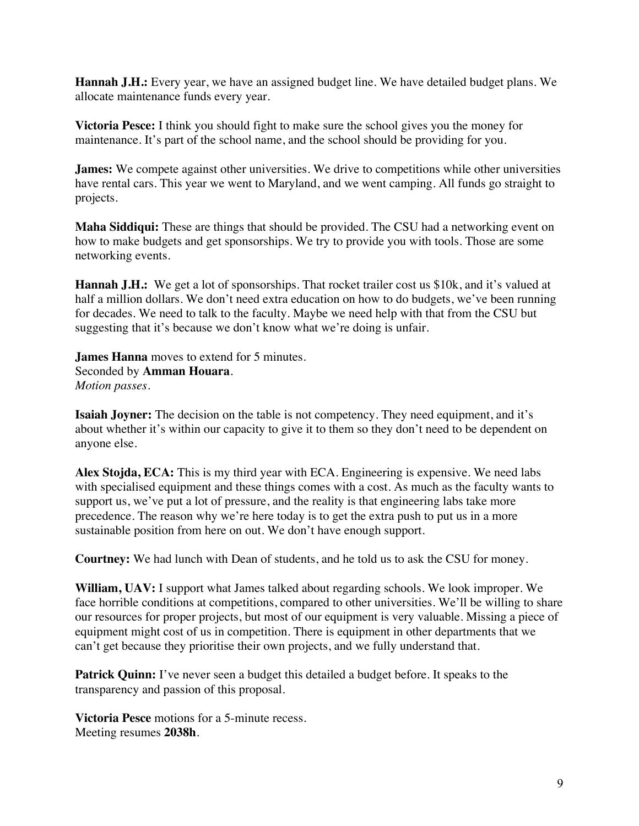**Hannah J.H.:** Every year, we have an assigned budget line. We have detailed budget plans. We allocate maintenance funds every year.

**Victoria Pesce:** I think you should fight to make sure the school gives you the money for maintenance. It's part of the school name, and the school should be providing for you.

**James:** We compete against other universities. We drive to competitions while other universities have rental cars. This year we went to Maryland, and we went camping. All funds go straight to projects.

**Maha Siddiqui:** These are things that should be provided. The CSU had a networking event on how to make budgets and get sponsorships. We try to provide you with tools. Those are some networking events.

**Hannah J.H.:** We get a lot of sponsorships. That rocket trailer cost us \$10k, and it's valued at half a million dollars. We don't need extra education on how to do budgets, we've been running for decades. We need to talk to the faculty. Maybe we need help with that from the CSU but suggesting that it's because we don't know what we're doing is unfair.

**James Hanna** moves to extend for 5 minutes. Seconded by **Amman Houara**. *Motion passes.* 

**Isaiah Joyner:** The decision on the table is not competency. They need equipment, and it's about whether it's within our capacity to give it to them so they don't need to be dependent on anyone else.

**Alex Stojda, ECA:** This is my third year with ECA. Engineering is expensive. We need labs with specialised equipment and these things comes with a cost. As much as the faculty wants to support us, we've put a lot of pressure, and the reality is that engineering labs take more precedence. The reason why we're here today is to get the extra push to put us in a more sustainable position from here on out. We don't have enough support.

**Courtney:** We had lunch with Dean of students, and he told us to ask the CSU for money.

**William, UAV:** I support what James talked about regarding schools. We look improper. We face horrible conditions at competitions, compared to other universities. We'll be willing to share our resources for proper projects, but most of our equipment is very valuable. Missing a piece of equipment might cost of us in competition. There is equipment in other departments that we can't get because they prioritise their own projects, and we fully understand that.

**Patrick Quinn:** I've never seen a budget this detailed a budget before. It speaks to the transparency and passion of this proposal.

**Victoria Pesce** motions for a 5-minute recess. Meeting resumes **2038h**.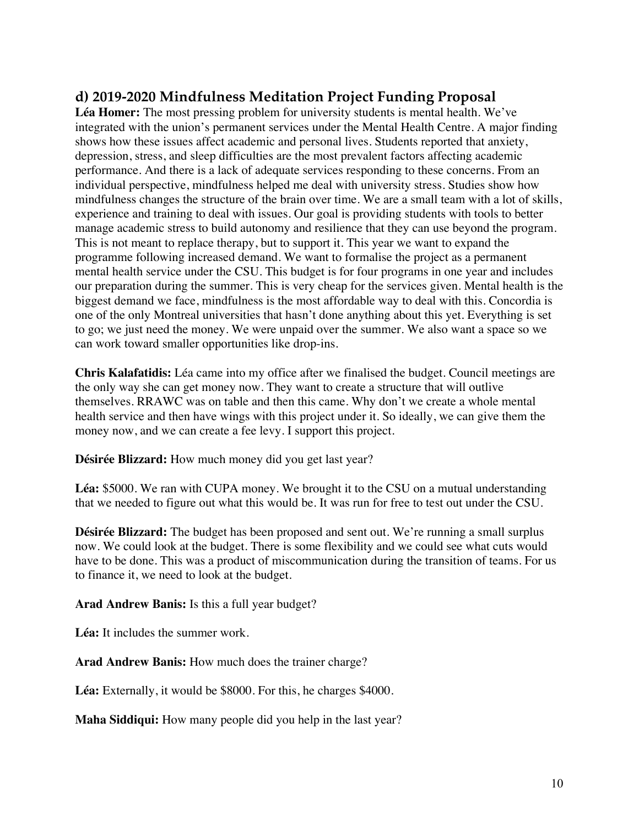# **d) 2019-2020 Mindfulness Meditation Project Funding Proposal**

**Léa Homer:** The most pressing problem for university students is mental health. We've integrated with the union's permanent services under the Mental Health Centre. A major finding shows how these issues affect academic and personal lives. Students reported that anxiety, depression, stress, and sleep difficulties are the most prevalent factors affecting academic performance. And there is a lack of adequate services responding to these concerns. From an individual perspective, mindfulness helped me deal with university stress. Studies show how mindfulness changes the structure of the brain over time. We are a small team with a lot of skills, experience and training to deal with issues. Our goal is providing students with tools to better manage academic stress to build autonomy and resilience that they can use beyond the program. This is not meant to replace therapy, but to support it. This year we want to expand the programme following increased demand. We want to formalise the project as a permanent mental health service under the CSU. This budget is for four programs in one year and includes our preparation during the summer. This is very cheap for the services given. Mental health is the biggest demand we face, mindfulness is the most affordable way to deal with this. Concordia is one of the only Montreal universities that hasn't done anything about this yet. Everything is set to go; we just need the money. We were unpaid over the summer. We also want a space so we can work toward smaller opportunities like drop-ins.

**Chris Kalafatidis:** Léa came into my office after we finalised the budget. Council meetings are the only way she can get money now. They want to create a structure that will outlive themselves. RRAWC was on table and then this came. Why don't we create a whole mental health service and then have wings with this project under it. So ideally, we can give them the money now, and we can create a fee levy. I support this project.

**Désirée Blizzard:** How much money did you get last year?

**Léa:** \$5000. We ran with CUPA money. We brought it to the CSU on a mutual understanding that we needed to figure out what this would be. It was run for free to test out under the CSU.

**Désirée Blizzard:** The budget has been proposed and sent out. We're running a small surplus now. We could look at the budget. There is some flexibility and we could see what cuts would have to be done. This was a product of miscommunication during the transition of teams. For us to finance it, we need to look at the budget.

**Arad Andrew Banis:** Is this a full year budget?

**Léa:** It includes the summer work.

**Arad Andrew Banis:** How much does the trainer charge?

**Léa:** Externally, it would be \$8000. For this, he charges \$4000.

**Maha Siddiqui:** How many people did you help in the last year?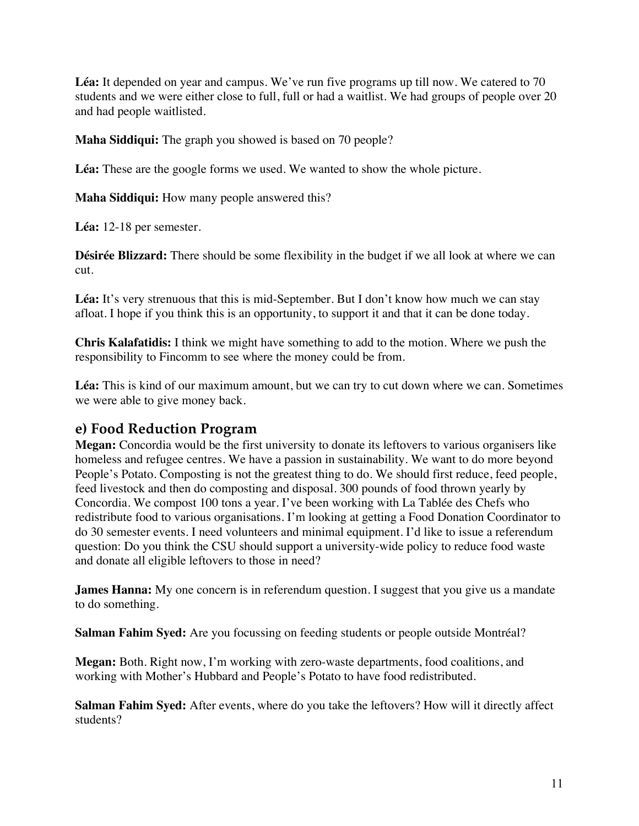Léa: It depended on year and campus. We've run five programs up till now. We catered to 70 students and we were either close to full, full or had a waitlist. We had groups of people over 20 and had people waitlisted.

**Maha Siddiqui:** The graph you showed is based on 70 people?

**Léa:** These are the google forms we used. We wanted to show the whole picture.

**Maha Siddiqui:** How many people answered this?

**Léa:** 12-18 per semester.

**Désirée Blizzard:** There should be some flexibility in the budget if we all look at where we can cut.

Léa: It's very strenuous that this is mid-September. But I don't know how much we can stay afloat. I hope if you think this is an opportunity, to support it and that it can be done today.

**Chris Kalafatidis:** I think we might have something to add to the motion. Where we push the responsibility to Fincomm to see where the money could be from.

**Léa:** This is kind of our maximum amount, but we can try to cut down where we can. Sometimes we were able to give money back.

### **e) Food Reduction Program**

**Megan:** Concordia would be the first university to donate its leftovers to various organisers like homeless and refugee centres. We have a passion in sustainability. We want to do more beyond People's Potato. Composting is not the greatest thing to do. We should first reduce, feed people, feed livestock and then do composting and disposal. 300 pounds of food thrown yearly by Concordia. We compost 100 tons a year. I've been working with La Tablée des Chefs who redistribute food to various organisations. I'm looking at getting a Food Donation Coordinator to do 30 semester events. I need volunteers and minimal equipment. I'd like to issue a referendum question: Do you think the CSU should support a university-wide policy to reduce food waste and donate all eligible leftovers to those in need?

**James Hanna:** My one concern is in referendum question. I suggest that you give us a mandate to do something.

**Salman Fahim Syed:** Are you focussing on feeding students or people outside Montréal?

**Megan:** Both. Right now, I'm working with zero-waste departments, food coalitions, and working with Mother's Hubbard and People's Potato to have food redistributed.

**Salman Fahim Syed:** After events, where do you take the leftovers? How will it directly affect students?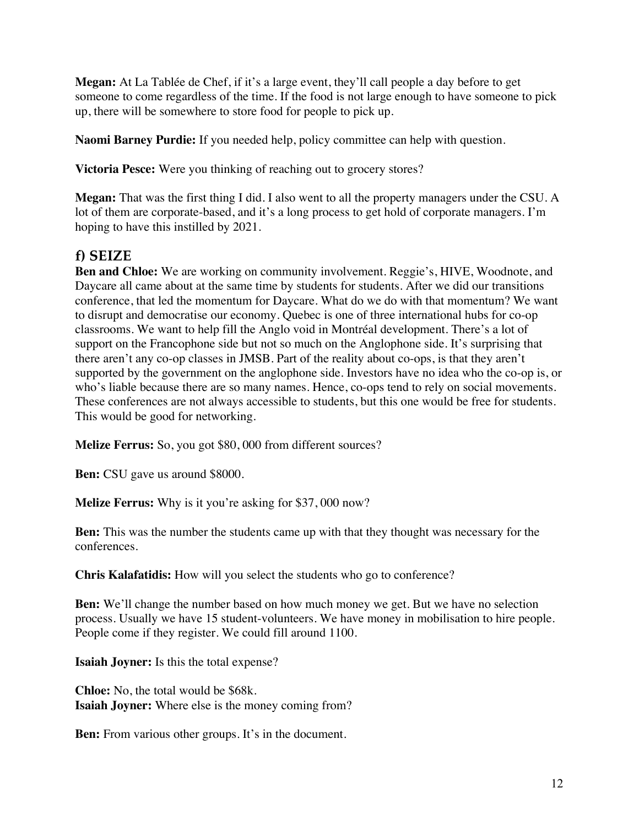**Megan:** At La Tablée de Chef, if it's a large event, they'll call people a day before to get someone to come regardless of the time. If the food is not large enough to have someone to pick up, there will be somewhere to store food for people to pick up.

**Naomi Barney Purdie:** If you needed help, policy committee can help with question.

**Victoria Pesce:** Were you thinking of reaching out to grocery stores?

**Megan:** That was the first thing I did. I also went to all the property managers under the CSU. A lot of them are corporate-based, and it's a long process to get hold of corporate managers. I'm hoping to have this instilled by 2021.

# **f) SEIZE**

**Ben and Chloe:** We are working on community involvement. Reggie's, HIVE, Woodnote, and Daycare all came about at the same time by students for students. After we did our transitions conference, that led the momentum for Daycare. What do we do with that momentum? We want to disrupt and democratise our economy. Quebec is one of three international hubs for co-op classrooms. We want to help fill the Anglo void in Montréal development. There's a lot of support on the Francophone side but not so much on the Anglophone side. It's surprising that there aren't any co-op classes in JMSB. Part of the reality about co-ops, is that they aren't supported by the government on the anglophone side. Investors have no idea who the co-op is, or who's liable because there are so many names. Hence, co-ops tend to rely on social movements. These conferences are not always accessible to students, but this one would be free for students. This would be good for networking.

**Melize Ferrus:** So, you got \$80, 000 from different sources?

**Ben:** CSU gave us around \$8000.

**Melize Ferrus:** Why is it you're asking for \$37, 000 now?

**Ben:** This was the number the students came up with that they thought was necessary for the conferences.

**Chris Kalafatidis:** How will you select the students who go to conference?

**Ben:** We'll change the number based on how much money we get. But we have no selection process. Usually we have 15 student-volunteers. We have money in mobilisation to hire people. People come if they register. We could fill around 1100.

**Isaiah Joyner:** Is this the total expense?

**Chloe:** No, the total would be \$68k. **Isaiah Joyner:** Where else is the money coming from?

**Ben:** From various other groups. It's in the document.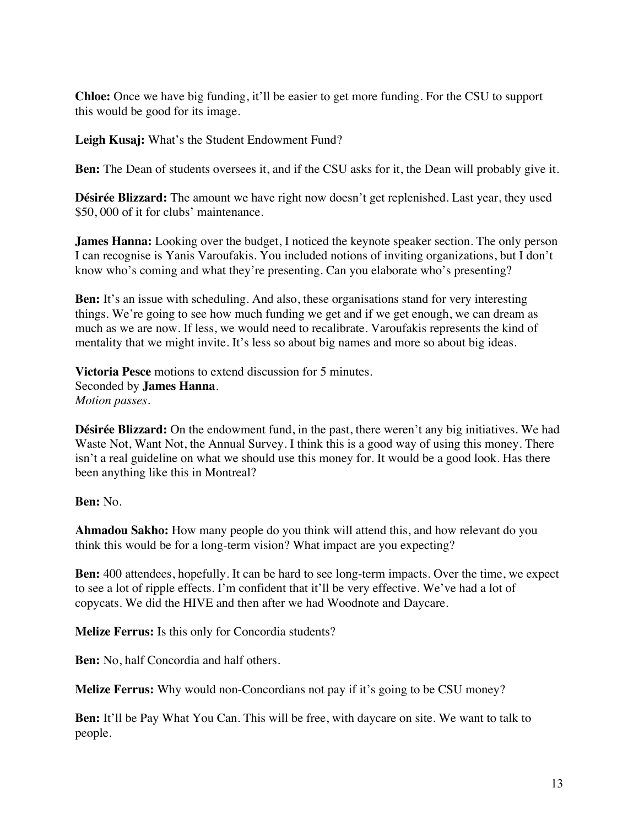**Chloe:** Once we have big funding, it'll be easier to get more funding. For the CSU to support this would be good for its image.

**Leigh Kusaj:** What's the Student Endowment Fund?

**Ben:** The Dean of students oversees it, and if the CSU asks for it, the Dean will probably give it.

**Désirée Blizzard:** The amount we have right now doesn't get replenished. Last year, they used \$50, 000 of it for clubs' maintenance.

**James Hanna:** Looking over the budget, I noticed the keynote speaker section. The only person I can recognise is Yanis Varoufakis. You included notions of inviting organizations, but I don't know who's coming and what they're presenting. Can you elaborate who's presenting?

**Ben:** It's an issue with scheduling. And also, these organisations stand for very interesting things. We're going to see how much funding we get and if we get enough, we can dream as much as we are now. If less, we would need to recalibrate. Varoufakis represents the kind of mentality that we might invite. It's less so about big names and more so about big ideas.

**Victoria Pesce** motions to extend discussion for 5 minutes. Seconded by **James Hanna**. *Motion passes.*

**Désirée Blizzard:** On the endowment fund, in the past, there weren't any big initiatives. We had Waste Not, Want Not, the Annual Survey. I think this is a good way of using this money. There isn't a real guideline on what we should use this money for. It would be a good look. Has there been anything like this in Montreal?

#### **Ben:** No.

**Ahmadou Sakho:** How many people do you think will attend this, and how relevant do you think this would be for a long-term vision? What impact are you expecting?

**Ben:** 400 attendees, hopefully. It can be hard to see long-term impacts. Over the time, we expect to see a lot of ripple effects. I'm confident that it'll be very effective. We've had a lot of copycats. We did the HIVE and then after we had Woodnote and Daycare.

**Melize Ferrus:** Is this only for Concordia students?

**Ben:** No, half Concordia and half others.

**Melize Ferrus:** Why would non-Concordians not pay if it's going to be CSU money?

**Ben:** It'll be Pay What You Can. This will be free, with daycare on site. We want to talk to people.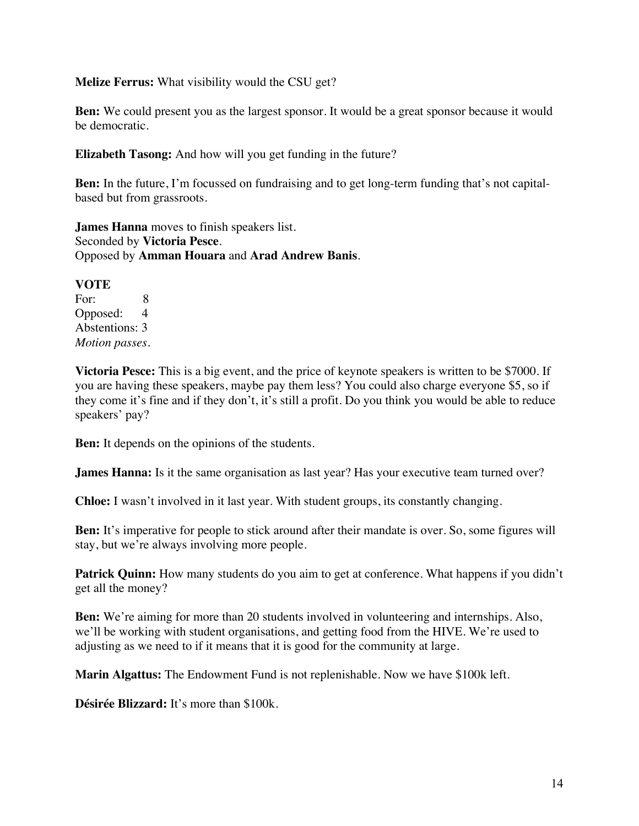#### **Melize Ferrus:** What visibility would the CSU get?

**Ben:** We could present you as the largest sponsor. It would be a great sponsor because it would be democratic.

**Elizabeth Tasong:** And how will you get funding in the future?

**Ben:** In the future, I'm focussed on fundraising and to get long-term funding that's not capitalbased but from grassroots.

**James Hanna** moves to finish speakers list. Seconded by **Victoria Pesce**. Opposed by **Amman Houara** and **Arad Andrew Banis**.

#### **VOTE**

For: 8 Opposed: 4 Abstentions: 3 *Motion passes.* 

**Victoria Pesce:** This is a big event, and the price of keynote speakers is written to be \$7000. If you are having these speakers, maybe pay them less? You could also charge everyone \$5, so if they come it's fine and if they don't, it's still a profit. Do you think you would be able to reduce speakers' pay?

**Ben:** It depends on the opinions of the students.

**James Hanna:** Is it the same organisation as last year? Has your executive team turned over?

**Chloe:** I wasn't involved in it last year. With student groups, its constantly changing.

**Ben:** It's imperative for people to stick around after their mandate is over. So, some figures will stay, but we're always involving more people.

**Patrick Quinn:** How many students do you aim to get at conference. What happens if you didn't get all the money?

**Ben:** We're aiming for more than 20 students involved in volunteering and internships. Also, we'll be working with student organisations, and getting food from the HIVE. We're used to adjusting as we need to if it means that it is good for the community at large.

**Marin Algattus:** The Endowment Fund is not replenishable. Now we have \$100k left.

**Désirée Blizzard:** It's more than \$100k.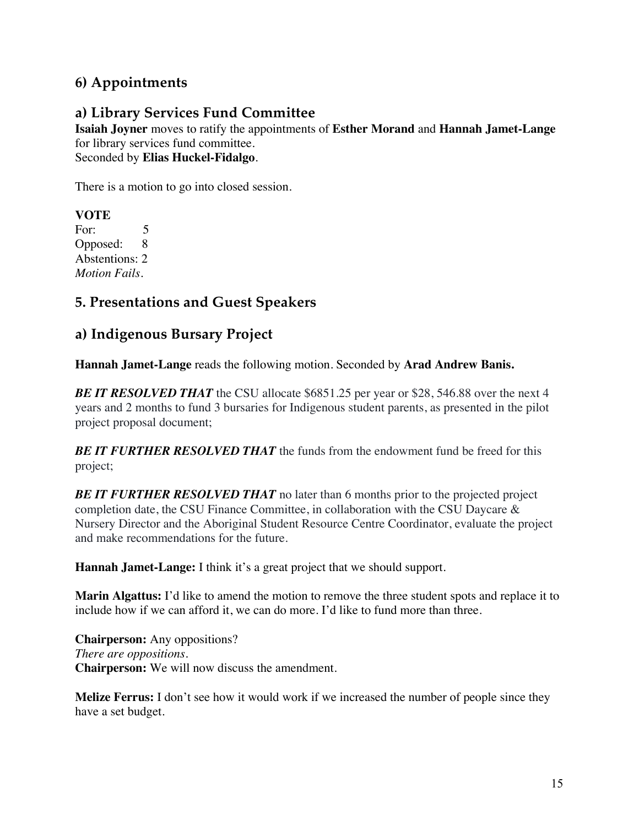# **6) Appointments**

# **a) Library Services Fund Committee**

**Isaiah Joyner** moves to ratify the appointments of **Esther Morand** and **Hannah Jamet-Lange** for library services fund committee. Seconded by **Elias Huckel-Fidalgo**.

There is a motion to go into closed session.

**VOTE** For: 5 Opposed: 8 Abstentions: 2 *Motion Fails.* 

# **5. Presentations and Guest Speakers**

# **a) Indigenous Bursary Project**

**Hannah Jamet-Lange** reads the following motion. Seconded by **Arad Andrew Banis.**

**BE IT RESOLVED THAT** the CSU allocate \$6851.25 per year or \$28, 546.88 over the next 4 years and 2 months to fund 3 bursaries for Indigenous student parents, as presented in the pilot project proposal document;

*BE IT FURTHER RESOLVED THAT* the funds from the endowment fund be freed for this project;

**BE IT FURTHER RESOLVED THAT** no later than 6 months prior to the projected project completion date, the CSU Finance Committee, in collaboration with the CSU Daycare & Nursery Director and the Aboriginal Student Resource Centre Coordinator, evaluate the project and make recommendations for the future.

**Hannah Jamet-Lange:** I think it's a great project that we should support.

**Marin Algattus:** I'd like to amend the motion to remove the three student spots and replace it to include how if we can afford it, we can do more. I'd like to fund more than three.

**Chairperson:** Any oppositions? *There are oppositions.*  **Chairperson:** We will now discuss the amendment.

**Melize Ferrus:** I don't see how it would work if we increased the number of people since they have a set budget.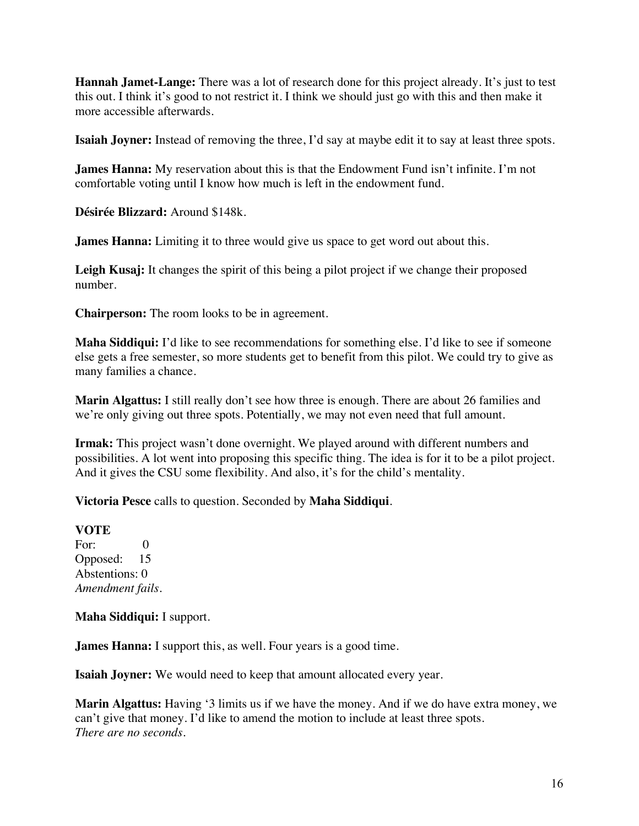**Hannah Jamet-Lange:** There was a lot of research done for this project already. It's just to test this out. I think it's good to not restrict it. I think we should just go with this and then make it more accessible afterwards.

**Isaiah Joyner:** Instead of removing the three, I'd say at maybe edit it to say at least three spots.

**James Hanna:** My reservation about this is that the Endowment Fund isn't infinite. I'm not comfortable voting until I know how much is left in the endowment fund.

**Désirée Blizzard:** Around \$148k.

**James Hanna:** Limiting it to three would give us space to get word out about this.

**Leigh Kusaj:** It changes the spirit of this being a pilot project if we change their proposed number.

**Chairperson:** The room looks to be in agreement.

**Maha Siddiqui:** I'd like to see recommendations for something else. I'd like to see if someone else gets a free semester, so more students get to benefit from this pilot. We could try to give as many families a chance.

**Marin Algattus:** I still really don't see how three is enough. There are about 26 families and we're only giving out three spots. Potentially, we may not even need that full amount.

**Irmak:** This project wasn't done overnight. We played around with different numbers and possibilities. A lot went into proposing this specific thing. The idea is for it to be a pilot project. And it gives the CSU some flexibility. And also, it's for the child's mentality.

**Victoria Pesce** calls to question. Seconded by **Maha Siddiqui**.

#### **VOTE**

For: 0 Opposed: 15 Abstentions: 0 *Amendment fails.* 

**Maha Siddiqui:** I support.

**James Hanna:** I support this, as well. Four years is a good time.

**Isaiah Joyner:** We would need to keep that amount allocated every year.

**Marin Algattus:** Having '3 limits us if we have the money. And if we do have extra money, we can't give that money. I'd like to amend the motion to include at least three spots. *There are no seconds.*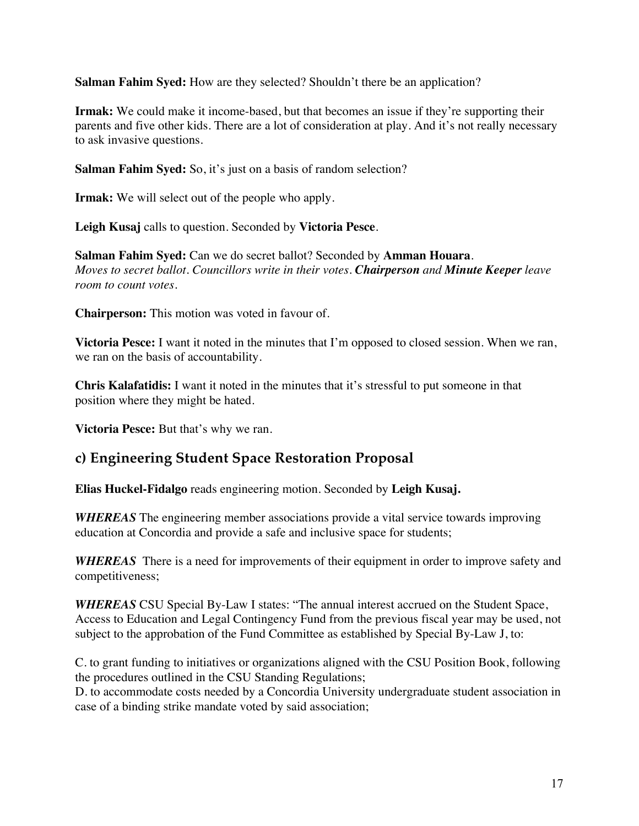**Salman Fahim Syed:** How are they selected? Shouldn't there be an application?

**Irmak:** We could make it income-based, but that becomes an issue if they're supporting their parents and five other kids. There are a lot of consideration at play. And it's not really necessary to ask invasive questions.

**Salman Fahim Syed:** So, it's just on a basis of random selection?

**Irmak:** We will select out of the people who apply.

**Leigh Kusaj** calls to question. Seconded by **Victoria Pesce**.

**Salman Fahim Syed:** Can we do secret ballot? Seconded by **Amman Houara**. *Moves to secret ballot. Councillors write in their votes. Chairperson and Minute Keeper leave room to count votes.* 

**Chairperson:** This motion was voted in favour of.

**Victoria Pesce:** I want it noted in the minutes that I'm opposed to closed session. When we ran, we ran on the basis of accountability.

**Chris Kalafatidis:** I want it noted in the minutes that it's stressful to put someone in that position where they might be hated.

**Victoria Pesce:** But that's why we ran.

# **c) Engineering Student Space Restoration Proposal**

**Elias Huckel-Fidalgo** reads engineering motion. Seconded by **Leigh Kusaj.**

*WHEREAS* The engineering member associations provide a vital service towards improving education at Concordia and provide a safe and inclusive space for students;

*WHEREAS* There is a need for improvements of their equipment in order to improve safety and competitiveness;

*WHEREAS* CSU Special By-Law I states: "The annual interest accrued on the Student Space, Access to Education and Legal Contingency Fund from the previous fiscal year may be used, not subject to the approbation of the Fund Committee as established by Special By-Law J, to:

C. to grant funding to initiatives or organizations aligned with the CSU Position Book, following the procedures outlined in the CSU Standing Regulations;

D. to accommodate costs needed by a Concordia University undergraduate student association in case of a binding strike mandate voted by said association;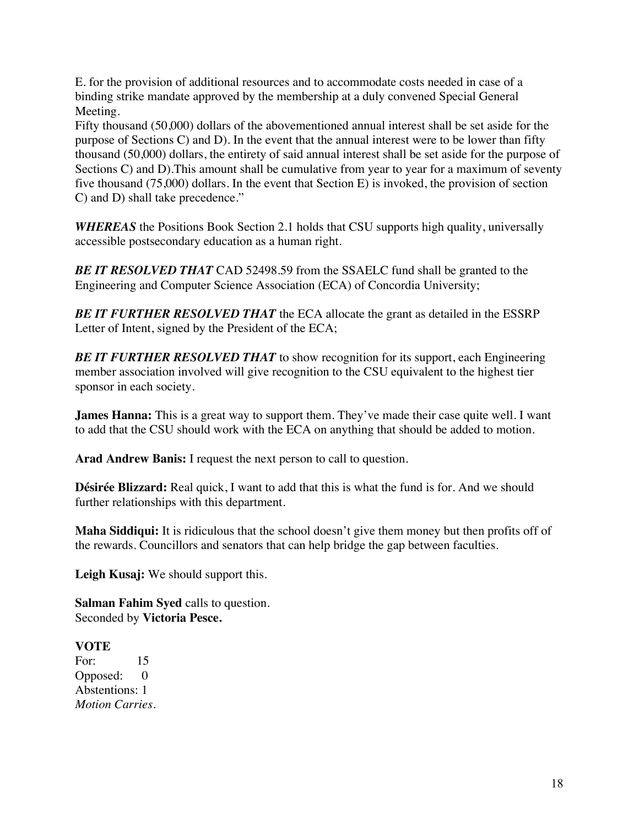E. for the provision of additional resources and to accommodate costs needed in case of a binding strike mandate approved by the membership at a duly convened Special General Meeting.

Fifty thousand (50,000) dollars of the abovementioned annual interest shall be set aside for the purpose of Sections C) and D). In the event that the annual interest were to be lower than fifty thousand (50,000) dollars, the entirety of said annual interest shall be set aside for the purpose of Sections C) and D). This amount shall be cumulative from year to year for a maximum of seventy five thousand (75,000) dollars. In the event that Section E) is invoked, the provision of section C) and D) shall take precedence."

*WHEREAS* the Positions Book Section 2.1 holds that CSU supports high quality, universally accessible postsecondary education as a human right.

*BE IT RESOLVED THAT* CAD 52498.59 from the SSAELC fund shall be granted to the Engineering and Computer Science Association (ECA) of Concordia University;

**BE IT FURTHER RESOLVED THAT** the ECA allocate the grant as detailed in the ESSRP Letter of Intent, signed by the President of the ECA;

**BE IT FURTHER RESOLVED THAT** to show recognition for its support, each Engineering member association involved will give recognition to the CSU equivalent to the highest tier sponsor in each society.

**James Hanna:** This is a great way to support them. They've made their case quite well. I want to add that the CSU should work with the ECA on anything that should be added to motion.

**Arad Andrew Banis:** I request the next person to call to question.

**Désirée Blizzard:** Real quick, I want to add that this is what the fund is for. And we should further relationships with this department.

**Maha Siddiqui:** It is ridiculous that the school doesn't give them money but then profits off of the rewards. Councillors and senators that can help bridge the gap between faculties.

**Leigh Kusaj:** We should support this.

**Salman Fahim Syed** calls to question. Seconded by **Victoria Pesce.**

### **VOTE**

For: 15 Opposed: 0 Abstentions: 1 *Motion Carries.*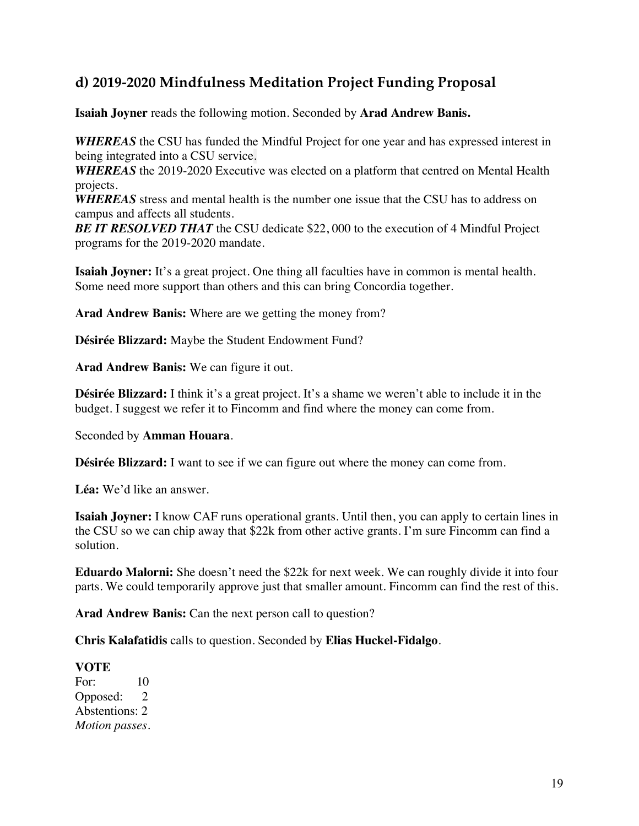# **d) 2019-2020 Mindfulness Meditation Project Funding Proposal**

**Isaiah Joyner** reads the following motion. Seconded by **Arad Andrew Banis.**

*WHEREAS* the CSU has funded the Mindful Project for one year and has expressed interest in being integrated into a CSU service.

*WHEREAS* the 2019-2020 Executive was elected on a platform that centred on Mental Health projects.

*WHEREAS* stress and mental health is the number one issue that the CSU has to address on campus and affects all students.

*BE IT RESOLVED THAT* the CSU dedicate \$22,000 to the execution of 4 Mindful Project programs for the 2019-2020 mandate.

**Isaiah Joyner:** It's a great project. One thing all faculties have in common is mental health. Some need more support than others and this can bring Concordia together.

**Arad Andrew Banis:** Where are we getting the money from?

**Désirée Blizzard:** Maybe the Student Endowment Fund?

**Arad Andrew Banis:** We can figure it out.

**Désirée Blizzard:** I think it's a great project. It's a shame we weren't able to include it in the budget. I suggest we refer it to Fincomm and find where the money can come from.

Seconded by **Amman Houara**.

**Désirée Blizzard:** I want to see if we can figure out where the money can come from.

**Léa:** We'd like an answer.

**Isaiah Joyner:** I know CAF runs operational grants. Until then, you can apply to certain lines in the CSU so we can chip away that \$22k from other active grants. I'm sure Fincomm can find a solution.

**Eduardo Malorni:** She doesn't need the \$22k for next week. We can roughly divide it into four parts. We could temporarily approve just that smaller amount. Fincomm can find the rest of this.

**Arad Andrew Banis:** Can the next person call to question?

**Chris Kalafatidis** calls to question. Seconded by **Elias Huckel-Fidalgo**.

#### **VOTE**

For: 10 Opposed: 2 Abstentions: 2 *Motion passes.*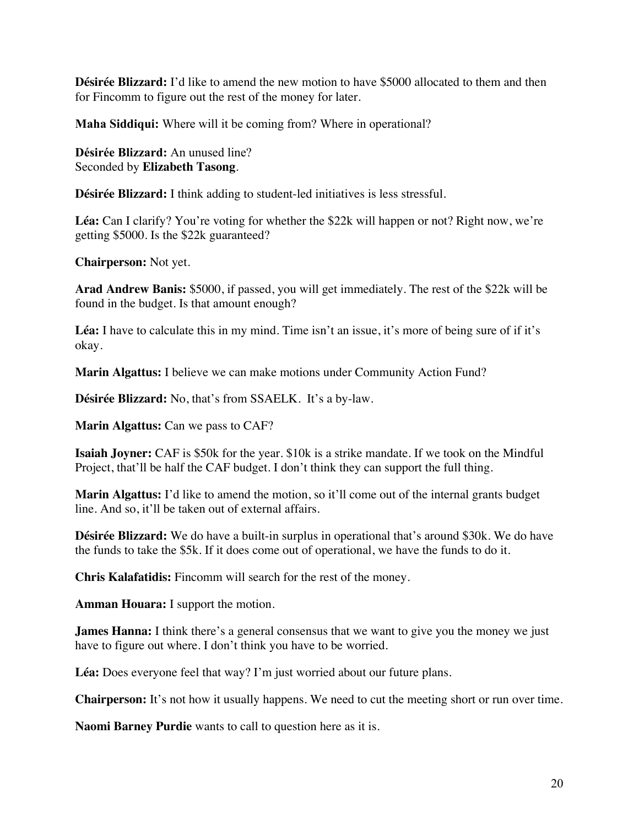**Désirée Blizzard:** I'd like to amend the new motion to have \$5000 allocated to them and then for Fincomm to figure out the rest of the money for later.

**Maha Siddiqui:** Where will it be coming from? Where in operational?

**Désirée Blizzard:** An unused line? Seconded by **Elizabeth Tasong**.

**Désirée Blizzard:** I think adding to student-led initiatives is less stressful.

Léa: Can I clarify? You're voting for whether the \$22k will happen or not? Right now, we're getting \$5000. Is the \$22k guaranteed?

**Chairperson:** Not yet.

**Arad Andrew Banis:** \$5000, if passed, you will get immediately. The rest of the \$22k will be found in the budget. Is that amount enough?

Léa: I have to calculate this in my mind. Time isn't an issue, it's more of being sure of if it's okay.

**Marin Algattus:** I believe we can make motions under Community Action Fund?

**Désirée Blizzard:** No, that's from SSAELK. It's a by-law.

**Marin Algattus:** Can we pass to CAF?

**Isaiah Joyner:** CAF is \$50k for the year. \$10k is a strike mandate. If we took on the Mindful Project, that'll be half the CAF budget. I don't think they can support the full thing.

**Marin Algattus:** I'd like to amend the motion, so it'll come out of the internal grants budget line. And so, it'll be taken out of external affairs.

**Désirée Blizzard:** We do have a built-in surplus in operational that's around \$30k. We do have the funds to take the \$5k. If it does come out of operational, we have the funds to do it.

**Chris Kalafatidis:** Fincomm will search for the rest of the money.

**Amman Houara:** I support the motion.

**James Hanna:** I think there's a general consensus that we want to give you the money we just have to figure out where. I don't think you have to be worried.

**Léa:** Does everyone feel that way? I'm just worried about our future plans.

**Chairperson:** It's not how it usually happens. We need to cut the meeting short or run over time.

**Naomi Barney Purdie** wants to call to question here as it is.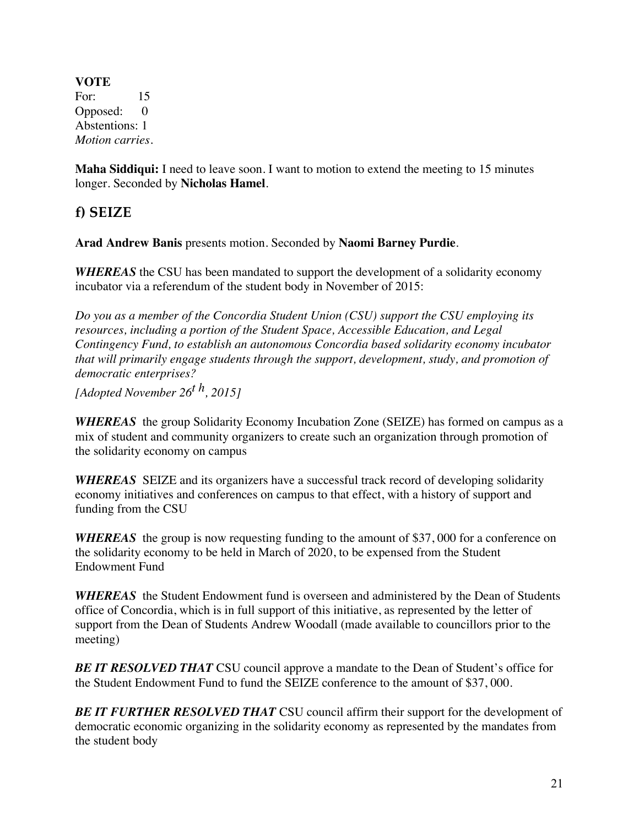**VOTE** For: 15 Opposed: 0 Abstentions: 1 *Motion carries.*

**Maha Siddiqui:** I need to leave soon. I want to motion to extend the meeting to 15 minutes longer. Seconded by **Nicholas Hamel**.

**f) SEIZE** 

**Arad Andrew Banis** presents motion. Seconded by **Naomi Barney Purdie**.

*WHEREAS* the CSU has been mandated to support the development of a solidarity economy incubator via a referendum of the student body in November of 2015:

*Do you as a member of the Concordia Student Union (CSU) support the CSU employing its resources, including a portion of the Student Space, Accessible Education, and Legal Contingency Fund, to establish an autonomous Concordia based solidarity economy incubator that will primarily engage students through the support, development, study, and promotion of democratic enterprises?*

*[Adopted November 26t h, 2015]* 

*WHEREAS* the group Solidarity Economy Incubation Zone (SEIZE) has formed on campus as a mix of student and community organizers to create such an organization through promotion of the solidarity economy on campus

*WHEREAS* SEIZE and its organizers have a successful track record of developing solidarity economy initiatives and conferences on campus to that effect, with a history of support and funding from the CSU

*WHEREAS* the group is now requesting funding to the amount of \$37, 000 for a conference on the solidarity economy to be held in March of 2020, to be expensed from the Student Endowment Fund

*WHEREAS* the Student Endowment fund is overseen and administered by the Dean of Students office of Concordia, which is in full support of this initiative, as represented by the letter of support from the Dean of Students Andrew Woodall (made available to councillors prior to the meeting)

**BE IT RESOLVED THAT** CSU council approve a mandate to the Dean of Student's office for the Student Endowment Fund to fund the SEIZE conference to the amount of \$37, 000.

*BE IT FURTHER RESOLVED THAT* CSU council affirm their support for the development of democratic economic organizing in the solidarity economy as represented by the mandates from the student body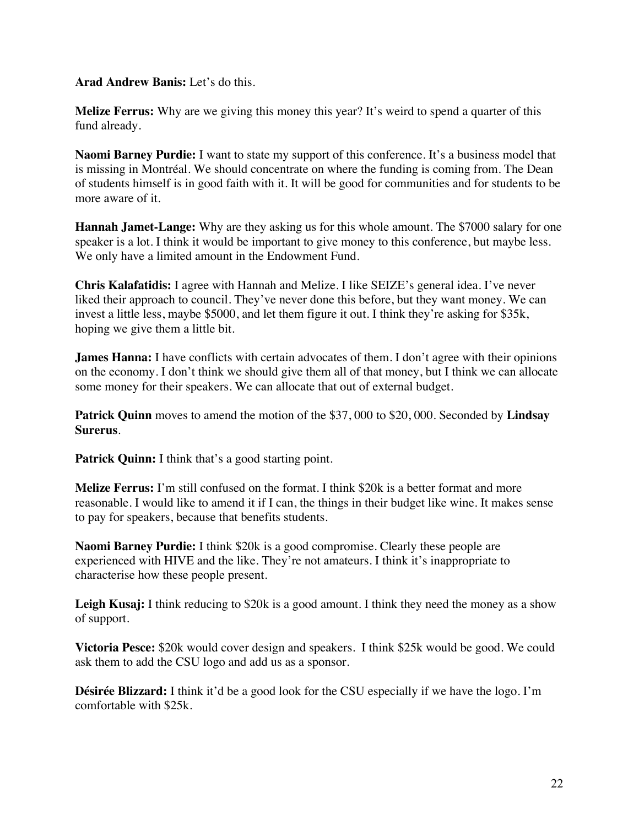**Arad Andrew Banis:** Let's do this.

**Melize Ferrus:** Why are we giving this money this year? It's weird to spend a quarter of this fund already.

**Naomi Barney Purdie:** I want to state my support of this conference. It's a business model that is missing in Montréal. We should concentrate on where the funding is coming from. The Dean of students himself is in good faith with it. It will be good for communities and for students to be more aware of it.

**Hannah Jamet-Lange:** Why are they asking us for this whole amount. The \$7000 salary for one speaker is a lot. I think it would be important to give money to this conference, but maybe less. We only have a limited amount in the Endowment Fund.

**Chris Kalafatidis:** I agree with Hannah and Melize. I like SEIZE's general idea. I've never liked their approach to council. They've never done this before, but they want money. We can invest a little less, maybe \$5000, and let them figure it out. I think they're asking for \$35k, hoping we give them a little bit.

**James Hanna:** I have conflicts with certain advocates of them. I don't agree with their opinions on the economy. I don't think we should give them all of that money, but I think we can allocate some money for their speakers. We can allocate that out of external budget.

**Patrick Quinn** moves to amend the motion of the \$37, 000 to \$20, 000. Seconded by **Lindsay Surerus**.

Patrick Quinn: I think that's a good starting point.

**Melize Ferrus:** I'm still confused on the format. I think \$20k is a better format and more reasonable. I would like to amend it if I can, the things in their budget like wine. It makes sense to pay for speakers, because that benefits students.

**Naomi Barney Purdie:** I think \$20k is a good compromise. Clearly these people are experienced with HIVE and the like. They're not amateurs. I think it's inappropriate to characterise how these people present.

Leigh Kusaj: I think reducing to \$20k is a good amount. I think they need the money as a show of support.

**Victoria Pesce:** \$20k would cover design and speakers. I think \$25k would be good. We could ask them to add the CSU logo and add us as a sponsor.

**Désirée Blizzard:** I think it'd be a good look for the CSU especially if we have the logo. I'm comfortable with \$25k.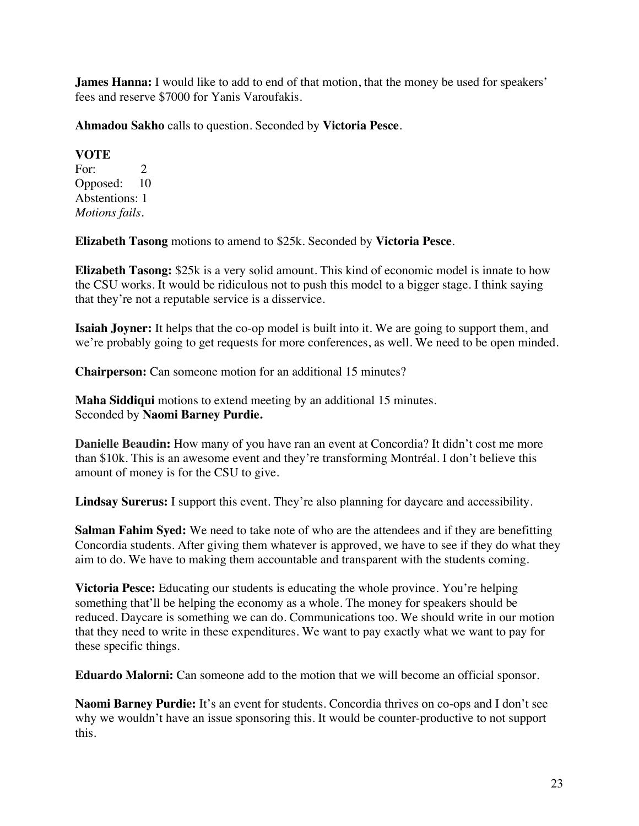**James Hanna:** I would like to add to end of that motion, that the money be used for speakers' fees and reserve \$7000 for Yanis Varoufakis.

**Ahmadou Sakho** calls to question. Seconded by **Victoria Pesce**.

**VOTE** For:  $2$ Opposed: 10 Abstentions: 1 *Motions fails.*

**Elizabeth Tasong** motions to amend to \$25k. Seconded by **Victoria Pesce**.

**Elizabeth Tasong:** \$25k is a very solid amount. This kind of economic model is innate to how the CSU works. It would be ridiculous not to push this model to a bigger stage. I think saying that they're not a reputable service is a disservice.

**Isaiah Joyner:** It helps that the co-op model is built into it. We are going to support them, and we're probably going to get requests for more conferences, as well. We need to be open minded.

**Chairperson:** Can someone motion for an additional 15 minutes?

**Maha Siddiqui** motions to extend meeting by an additional 15 minutes. Seconded by **Naomi Barney Purdie.**

**Danielle Beaudin:** How many of you have ran an event at Concordia? It didn't cost me more than \$10k. This is an awesome event and they're transforming Montréal. I don't believe this amount of money is for the CSU to give.

**Lindsay Surerus:** I support this event. They're also planning for daycare and accessibility.

**Salman Fahim Syed:** We need to take note of who are the attendees and if they are benefitting Concordia students. After giving them whatever is approved, we have to see if they do what they aim to do. We have to making them accountable and transparent with the students coming.

**Victoria Pesce:** Educating our students is educating the whole province. You're helping something that'll be helping the economy as a whole. The money for speakers should be reduced. Daycare is something we can do. Communications too. We should write in our motion that they need to write in these expenditures. We want to pay exactly what we want to pay for these specific things.

**Eduardo Malorni:** Can someone add to the motion that we will become an official sponsor.

**Naomi Barney Purdie:** It's an event for students. Concordia thrives on co-ops and I don't see why we wouldn't have an issue sponsoring this. It would be counter-productive to not support this.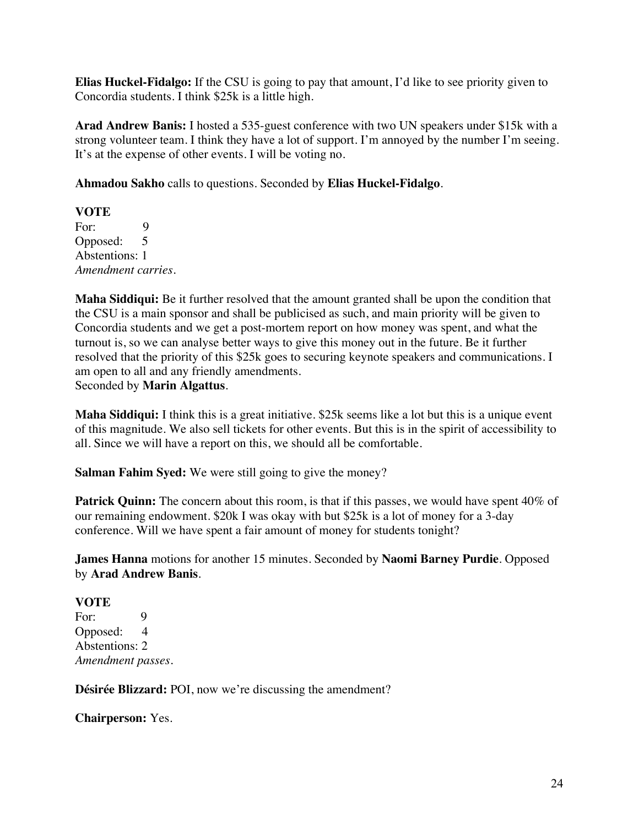**Elias Huckel-Fidalgo:** If the CSU is going to pay that amount, I'd like to see priority given to Concordia students. I think \$25k is a little high.

**Arad Andrew Banis:** I hosted a 535-guest conference with two UN speakers under \$15k with a strong volunteer team. I think they have a lot of support. I'm annoyed by the number I'm seeing. It's at the expense of other events. I will be voting no.

**Ahmadou Sakho** calls to questions. Seconded by **Elias Huckel-Fidalgo**.

**VOTE** For: 9 Opposed: 5 Abstentions: 1 *Amendment carries.* 

**Maha Siddiqui:** Be it further resolved that the amount granted shall be upon the condition that the CSU is a main sponsor and shall be publicised as such, and main priority will be given to Concordia students and we get a post-mortem report on how money was spent, and what the turnout is, so we can analyse better ways to give this money out in the future. Be it further resolved that the priority of this \$25k goes to securing keynote speakers and communications. I am open to all and any friendly amendments.

Seconded by **Marin Algattus**.

**Maha Siddiqui:** I think this is a great initiative. \$25k seems like a lot but this is a unique event of this magnitude. We also sell tickets for other events. But this is in the spirit of accessibility to all. Since we will have a report on this, we should all be comfortable.

**Salman Fahim Syed:** We were still going to give the money?

**Patrick Quinn:** The concern about this room, is that if this passes, we would have spent 40% of our remaining endowment. \$20k I was okay with but \$25k is a lot of money for a 3-day conference. Will we have spent a fair amount of money for students tonight?

**James Hanna** motions for another 15 minutes. Seconded by **Naomi Barney Purdie**. Opposed by **Arad Andrew Banis**.

#### **VOTE**

For: 9 Opposed: 4 Abstentions: 2 *Amendment passes.*

**Désirée Blizzard:** POI, now we're discussing the amendment?

**Chairperson:** Yes.